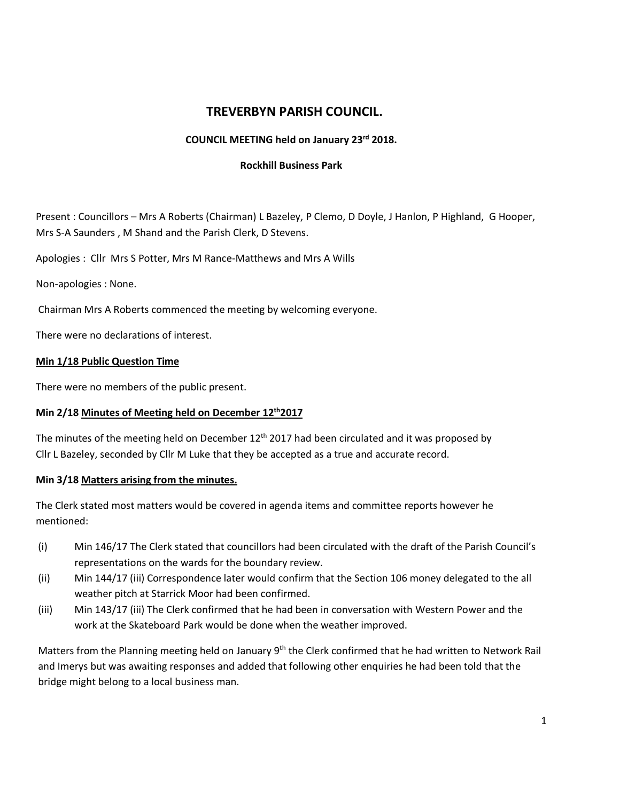# **TREVERBYN PARISH COUNCIL.**

### **COUNCIL MEETING held on January 23rd 2018.**

#### **Rockhill Business Park**

Present : Councillors – Mrs A Roberts (Chairman) L Bazeley, P Clemo, D Doyle, J Hanlon, P Highland, G Hooper, Mrs S-A Saunders , M Shand and the Parish Clerk, D Stevens.

Apologies : Cllr Mrs S Potter, Mrs M Rance-Matthews and Mrs A Wills

Non-apologies : None.

Chairman Mrs A Roberts commenced the meeting by welcoming everyone.

There were no declarations of interest.

### **Min 1/18 Public Question Time**

There were no members of the public present.

### **Min 2/18 Minutes of Meeting held on December 12th2017**

The minutes of the meeting held on December  $12<sup>th</sup>$  2017 had been circulated and it was proposed by Cllr L Bazeley, seconded by Cllr M Luke that they be accepted as a true and accurate record.

### **Min 3/18 Matters arising from the minutes.**

The Clerk stated most matters would be covered in agenda items and committee reports however he mentioned:

- (i) Min 146/17 The Clerk stated that councillors had been circulated with the draft of the Parish Council's representations on the wards for the boundary review.
- (ii) Min 144/17 (iii) Correspondence later would confirm that the Section 106 money delegated to the all weather pitch at Starrick Moor had been confirmed.
- (iii) Min 143/17 (iii) The Clerk confirmed that he had been in conversation with Western Power and the work at the Skateboard Park would be done when the weather improved.

Matters from the Planning meeting held on January 9<sup>th</sup> the Clerk confirmed that he had written to Network Rail and Imerys but was awaiting responses and added that following other enquiries he had been told that the bridge might belong to a local business man.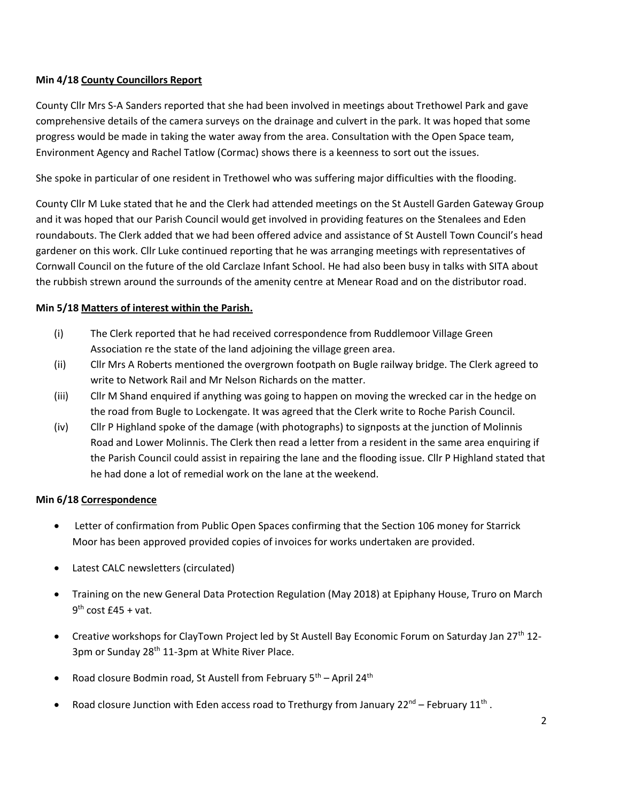### **Min 4/18 County Councillors Report**

County Cllr Mrs S-A Sanders reported that she had been involved in meetings about Trethowel Park and gave comprehensive details of the camera surveys on the drainage and culvert in the park. It was hoped that some progress would be made in taking the water away from the area. Consultation with the Open Space team, Environment Agency and Rachel Tatlow (Cormac) shows there is a keenness to sort out the issues.

She spoke in particular of one resident in Trethowel who was suffering major difficulties with the flooding.

County Cllr M Luke stated that he and the Clerk had attended meetings on the St Austell Garden Gateway Group and it was hoped that our Parish Council would get involved in providing features on the Stenalees and Eden roundabouts. The Clerk added that we had been offered advice and assistance of St Austell Town Council's head gardener on this work. Cllr Luke continued reporting that he was arranging meetings with representatives of Cornwall Council on the future of the old Carclaze Infant School. He had also been busy in talks with SITA about the rubbish strewn around the surrounds of the amenity centre at Menear Road and on the distributor road.

### **Min 5/18 Matters of interest within the Parish.**

- (i) The Clerk reported that he had received correspondence from Ruddlemoor Village Green Association re the state of the land adjoining the village green area.
- (ii) Cllr Mrs A Roberts mentioned the overgrown footpath on Bugle railway bridge. The Clerk agreed to write to Network Rail and Mr Nelson Richards on the matter.
- (iii) Cllr M Shand enquired if anything was going to happen on moving the wrecked car in the hedge on the road from Bugle to Lockengate. It was agreed that the Clerk write to Roche Parish Council.
- (iv) Cllr P Highland spoke of the damage (with photographs) to signposts at the junction of Molinnis Road and Lower Molinnis. The Clerk then read a letter from a resident in the same area enquiring if the Parish Council could assist in repairing the lane and the flooding issue. Cllr P Highland stated that he had done a lot of remedial work on the lane at the weekend.

### **Min 6/18 Correspondence**

- Letter of confirmation from Public Open Spaces confirming that the Section 106 money for Starrick Moor has been approved provided copies of invoices for works undertaken are provided.
- Latest CALC newsletters (circulated)
- Training on the new General Data Protection Regulation (May 2018) at Epiphany House, Truro on March 9<sup>th</sup> cost £45 + vat.
- Creati*ve* workshops for ClayTown Project led by St Austell Bay Economic Forum on Saturday Jan 27th 12- 3pm or Sunday 28<sup>th</sup> 11-3pm at White River Place.
- Road closure Bodmin road, St Austell from February  $5<sup>th</sup>$  April 24<sup>th</sup>
- Road closure Junction with Eden access road to Trethurgy from January 22<sup>nd</sup> February 11<sup>th</sup>.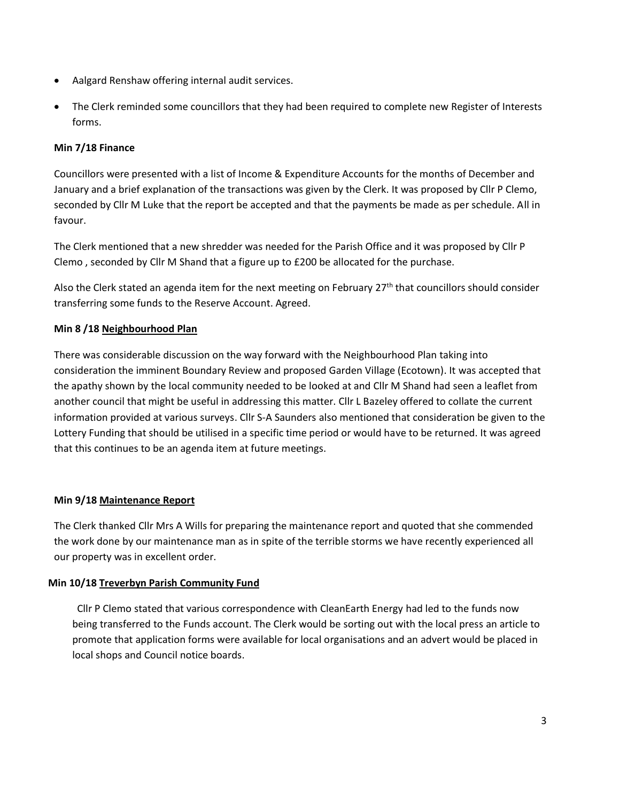- Aalgard Renshaw offering internal audit services.
- The Clerk reminded some councillors that they had been required to complete new Register of Interests forms.

# **Min 7/18 Finance**

Councillors were presented with a list of Income & Expenditure Accounts for the months of December and January and a brief explanation of the transactions was given by the Clerk. It was proposed by Cllr P Clemo, seconded by Cllr M Luke that the report be accepted and that the payments be made as per schedule. All in favour.

The Clerk mentioned that a new shredder was needed for the Parish Office and it was proposed by Cllr P Clemo , seconded by Cllr M Shand that a figure up to £200 be allocated for the purchase.

Also the Clerk stated an agenda item for the next meeting on February 27<sup>th</sup> that councillors should consider transferring some funds to the Reserve Account. Agreed.

# **Min 8 /18 Neighbourhood Plan**

There was considerable discussion on the way forward with the Neighbourhood Plan taking into consideration the imminent Boundary Review and proposed Garden Village (Ecotown). It was accepted that the apathy shown by the local community needed to be looked at and Cllr M Shand had seen a leaflet from another council that might be useful in addressing this matter. Cllr L Bazeley offered to collate the current information provided at various surveys. Cllr S-A Saunders also mentioned that consideration be given to the Lottery Funding that should be utilised in a specific time period or would have to be returned. It was agreed that this continues to be an agenda item at future meetings.

# **Min 9/18 Maintenance Report**

The Clerk thanked Cllr Mrs A Wills for preparing the maintenance report and quoted that she commended the work done by our maintenance man as in spite of the terrible storms we have recently experienced all our property was in excellent order.

# **Min 10/18 Treverbyn Parish Community Fund**

 Cllr P Clemo stated that various correspondence with CleanEarth Energy had led to the funds now being transferred to the Funds account. The Clerk would be sorting out with the local press an article to promote that application forms were available for local organisations and an advert would be placed in local shops and Council notice boards.